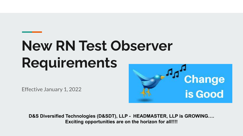# **New RN Test Observer Requirements**

Effective January 1, 2022



**D&S Diversified Technologies (D&SDT), LLP - HEADMASTER, LLP is GROWING…. Exciting opportunities are on the horizon for all!!!!**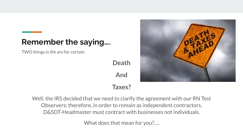#### **Remember the saying….**

TWO things in life are for certain:

**Death** 

**And**



**Taxes?**

Well, the IRS decided that we need to clarify the agreement with our RN Test Observers; therefore, in order to remain as independent contractors, D&SDT-Headmaster must contract with businesses not individuals.

What does that mean for you?….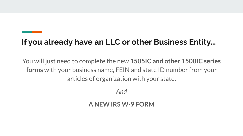# **If you already have an LLC or other Business Entity...**

You will just need to complete the new **1505IC and other 1500IC series forms** with your business name, FEIN and state ID number from your articles of organization with your state.

*And*

#### **A NEW IRS W-9 FORM**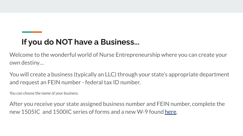# **If you do NOT have a Business...**

Welcome to the wonderful world of Nurse Entrepreneurship where you can create your own destiny…

You will create a business (typically an LLC) through your state's appropriate department and request an FEIN number - federal tax ID number.

*You can choose the name of your business.* 

After you receive your state assigned business number and FEIN number, complete the new 1505IC and 1500IC series of forms and a new W-9 found [here](https://hdmaster.com/testing/cnatesting/IC/IC_Home.htm).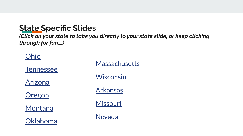## **State Specific Slides**

*(Click on your state to take you directly to your state slide, or keep clicking through for fun….)*

#### [Ohio](#page-5-0)

| <b>Tennessee</b> | <b>Massachusetts</b> |
|------------------|----------------------|
| <b>Arizona</b>   | <b>Wisconsin</b>     |
| Oregon           | <b>Arkansas</b>      |
| <b>Montana</b>   | Missouri             |
| Oklahoma         | <b>Nevada</b>        |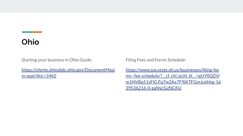#### <span id="page-5-0"></span>**Ohio**

Starting your business in Ohio Guide:

[https://clients.ohiosbdc.ohio.gov/DocumentMast](https://clients.ohiosbdc.ohio.gov/DocumentMaster.aspx?doc=2462) [er.aspx?doc=2462](https://clients.ohiosbdc.ohio.gov/DocumentMaster.aspx?doc=2462)

Filing Fees and Forms Schedule:

[https://www.sos.state.oh.us/businesses/filing-for](https://www.sos.state.oh.us/businesses/filing-forms--fee-schedule/?__cf_chl_jschl_tk__=gUY0QZjVm1NVBq51sFlG.Fq7w2Ax7F9iKTFGmJu6hhg-1639536216-0-gaNycGzNCKU) ms--fee-schedule/? cf chl\_jschl\_tk\_=gUY0QZjV [m1NVBq51sFlG.Fq7w2Ax7F9iKTFGmJu6hhg-16](https://www.sos.state.oh.us/businesses/filing-forms--fee-schedule/?__cf_chl_jschl_tk__=gUY0QZjVm1NVBq51sFlG.Fq7w2Ax7F9iKTFGmJu6hhg-1639536216-0-gaNycGzNCKU) [39536216-0-gaNycGzNCKU](https://www.sos.state.oh.us/businesses/filing-forms--fee-schedule/?__cf_chl_jschl_tk__=gUY0QZjVm1NVBq51sFlG.Fq7w2Ax7F9iKTFGmJu6hhg-1639536216-0-gaNycGzNCKU)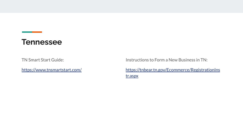#### <span id="page-6-0"></span>**Tennessee**

TN Smart Start Guide:

<https://www.tnsmartstart.com/>

Instructions to Form a New Business in TN:

[https://tnbear.tn.gov/Ecommerce/RegistrationIns](https://tnbear.tn.gov/Ecommerce/RegistrationInstr.aspx) [tr.aspx](https://tnbear.tn.gov/Ecommerce/RegistrationInstr.aspx)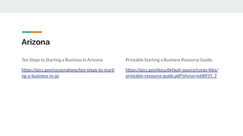## <span id="page-7-0"></span>**Arizona**

Ten Steps to Starting a Business in Arizona:

[https://azcc.gov/corporations/ten-steps-to-starti](https://azcc.gov/corporations/ten-steps-to-starting-a-business-in-az) [ng-a-business-in-az](https://azcc.gov/corporations/ten-steps-to-starting-a-business-in-az)

Printable Starting a Business Resource Guide:

[https://azcc.gov/docs/default-source/corps-files/](https://azcc.gov/docs/default-source/corps-files/printable-resource-guide.pdf?sfvrsn=e68ff35_2) [printable-resource-guide.pdf?sfvrsn=e68ff35\\_2](https://azcc.gov/docs/default-source/corps-files/printable-resource-guide.pdf?sfvrsn=e68ff35_2)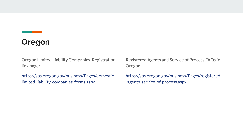#### <span id="page-8-0"></span>**Oregon**

Oregon Limited Liability Companies, Registration link page:

[https://sos.oregon.gov/business/Pages/domestic](https://sos.oregon.gov/business/Pages/domestic-limited-liability-companies-forms.aspx)[limited-liability-companies-forms.aspx](https://sos.oregon.gov/business/Pages/domestic-limited-liability-companies-forms.aspx)

Registered Agents and Service of Process FAQs in Oregon:

[https://sos.oregon.gov/business/Pages/registered](https://sos.oregon.gov/business/Pages/registered-agents-service-of-process.aspx) [-agents-service-of-process.aspx](https://sos.oregon.gov/business/Pages/registered-agents-service-of-process.aspx)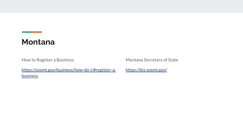#### <span id="page-9-0"></span>**Montana**

How to Register a Business:

Montana Secretary of State

[https://sosmt.gov/business/how-do-i/#register-a](https://sosmt.gov/business/how-do-i/#register-a-business)**[business](https://sosmt.gov/business/how-do-i/#register-a-business)** 

<https://biz.sosmt.gov/>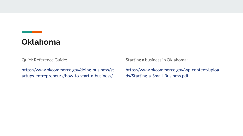# <span id="page-10-0"></span>**Oklahoma**

Quick Reference Guide:

[https://www.okcommerce.gov/doing-business/st](https://www.okcommerce.gov/doing-business/startups-entrepreneurs/how-to-start-a-business/) [artups-entrepreneurs/how-to-start-a-business/](https://www.okcommerce.gov/doing-business/startups-entrepreneurs/how-to-start-a-business/)

Starting a business in Oklahoma:

[https://www.okcommerce.gov/wp-content/uploa](https://www.okcommerce.gov/wp-content/uploads/Starting-a-Small-Business.pdf) [ds/Starting-a-Small-Business.pdf](https://www.okcommerce.gov/wp-content/uploads/Starting-a-Small-Business.pdf)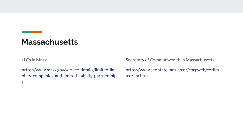# <span id="page-11-0"></span>**Massachusetts**

LLCs in Mass:

[https://www.mass.gov/service-details/limited-lia](https://www.mass.gov/service-details/limited-liability-companies-and-limited-liability-partnerships) [bility-companies-and-limited-liability-partnership](https://www.mass.gov/service-details/limited-liability-companies-and-limited-liability-partnerships) [s](https://www.mass.gov/service-details/limited-liability-companies-and-limited-liability-partnerships)

Secretary of Commonwealth in Massachusetts:

[https://www.sec.state.ma.us/cor/corpweb/corlim](https://www.sec.state.ma.us/cor/corpweb/corlim/corlim.htm) [/corlim.htm](https://www.sec.state.ma.us/cor/corpweb/corlim/corlim.htm)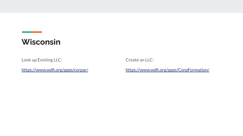# <span id="page-12-0"></span>**Wisconsin**

Look up Existing LLC:

<https://www.wdfi.org/apps/corpar/>

Create an LLC:

<https://www.wdfi.org/apps/CorpFormation/>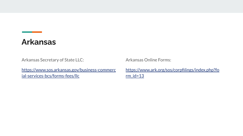#### <span id="page-13-0"></span>**Arkansas**

Arkansas Secretary of State LLC:

[https://www.sos.arkansas.gov/business-commerc](https://www.sos.arkansas.gov/business-commercial-services-bcs/forms-fees/llc) [ial-services-bcs/forms-fees/llc](https://www.sos.arkansas.gov/business-commercial-services-bcs/forms-fees/llc)

Arkansas Online Forms:

[https://www.ark.org/sos/corpfilings/index.php?fo](https://www.ark.org/sos/corpfilings/index.php?form_id=13)  $rm$  id=13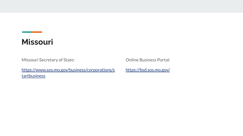# <span id="page-14-0"></span>**Missouri**

Missouri Secretary of State:

[https://www.sos.mo.gov/business/corporations/s](https://www.sos.mo.gov/business/corporations/startbusiness) [tartbusiness](https://www.sos.mo.gov/business/corporations/startbusiness)

Online Business Portal:

<https://bsd.sos.mo.gov/>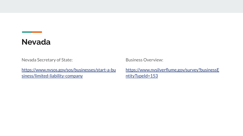#### <span id="page-15-0"></span>**Nevada**

Nevada Secretary of State:

[https://www.nvsos.gov/sos/businesses/start-a-bu](https://www.nvsos.gov/sos/businesses/start-a-business/limited-liability-company) [siness/limited-liability-company](https://www.nvsos.gov/sos/businesses/start-a-business/limited-liability-company)

Business Overview:

[https://www.nvsilverflume.gov/survey?businessE](https://www.nvsilverflume.gov/survey?businessEntityTypeId=153) [ntityTypeId=153](https://www.nvsilverflume.gov/survey?businessEntityTypeId=153)